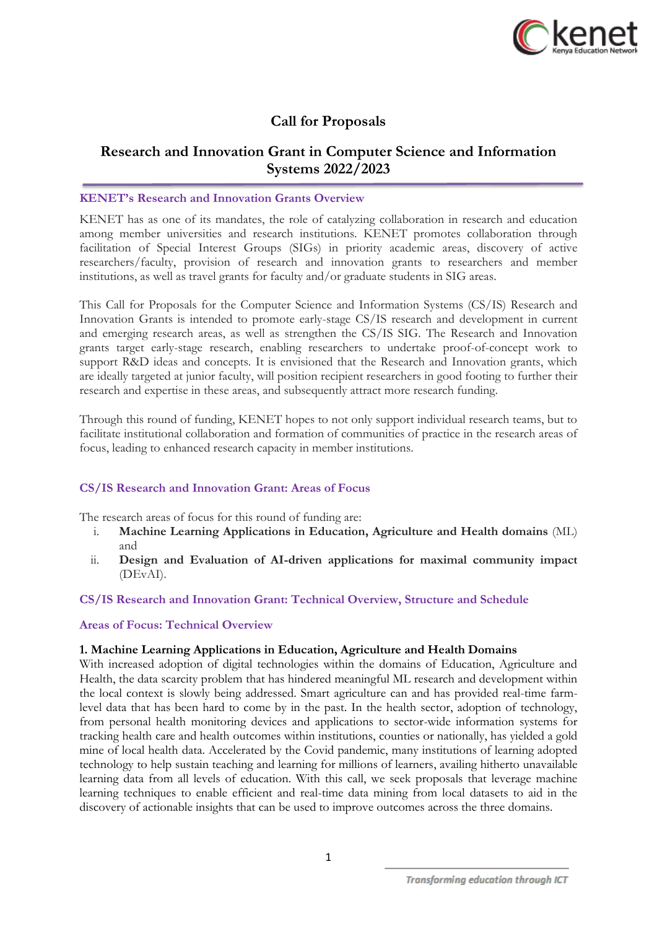

# **Call for Proposals**

# **Research and Innovation Grant in Computer Science and Information Systems 2022/2023**

### **KENET's Research and Innovation Grants Overview**

KENET has as one of its mandates, the role of catalyzing collaboration in research and education among member universities and research institutions. KENET promotes collaboration through facilitation of Special Interest Groups (SIGs) in priority academic areas, discovery of active researchers/faculty, provision of research and innovation grants to researchers and member institutions, as well as travel grants for faculty and/or graduate students in SIG areas.

This Call for Proposals for the Computer Science and Information Systems (CS/IS) Research and Innovation Grants is intended to promote early-stage CS/IS research and development in current and emerging research areas, as well as strengthen the CS/IS SIG. The Research and Innovation grants target early-stage research, enabling researchers to undertake proof-of-concept work to support R&D ideas and concepts. It is envisioned that the Research and Innovation grants, which are ideally targeted at junior faculty, will position recipient researchers in good footing to further their research and expertise in these areas, and subsequently attract more research funding.

Through this round of funding, KENET hopes to not only support individual research teams, but to facilitate institutional collaboration and formation of communities of practice in the research areas of focus, leading to enhanced research capacity in member institutions.

### **CS/IS Research and Innovation Grant: Areas of Focus**

The research areas of focus for this round of funding are:

- i. **Machine Learning Applications in Education, Agriculture and Health domains** (ML) and
- ii. **Design and Evaluation of AI-driven applications for maximal community impact**  (DEvAI).

### **CS/IS Research and Innovation Grant: Technical Overview, Structure and Schedule**

### **Areas of Focus: Technical Overview**

### **1. Machine Learning Applications in Education, Agriculture and Health Domains**

With increased adoption of digital technologies within the domains of Education, Agriculture and Health, the data scarcity problem that has hindered meaningful ML research and development within the local context is slowly being addressed. Smart agriculture can and has provided real-time farmlevel data that has been hard to come by in the past. In the health sector, adoption of technology, from personal health monitoring devices and applications to sector-wide information systems for tracking health care and health outcomes within institutions, counties or nationally, has yielded a gold mine of local health data. Accelerated by the Covid pandemic, many institutions of learning adopted technology to help sustain teaching and learning for millions of learners, availing hitherto unavailable learning data from all levels of education. With this call, we seek proposals that leverage machine learning techniques to enable efficient and real-time data mining from local datasets to aid in the discovery of actionable insights that can be used to improve outcomes across the three domains.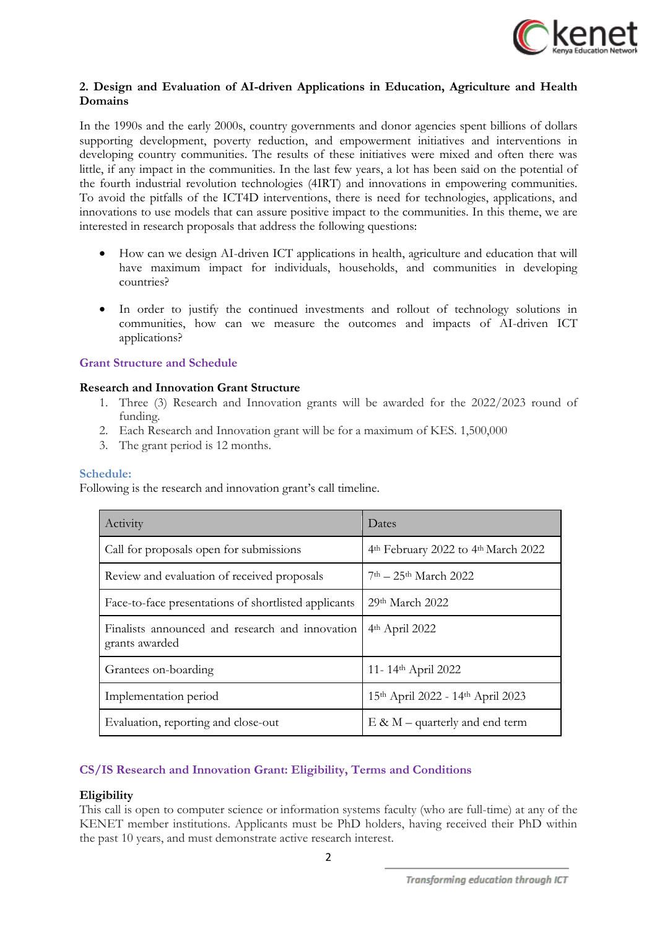

### **2. Design and Evaluation of AI-driven Applications in Education, Agriculture and Health Domains**

In the 1990s and the early 2000s, country governments and donor agencies spent billions of dollars supporting development, poverty reduction, and empowerment initiatives and interventions in developing country communities. The results of these initiatives were mixed and often there was little, if any impact in the communities. In the last few years, a lot has been said on the potential of the fourth industrial revolution technologies (4IRT) and innovations in empowering communities. To avoid the pitfalls of the ICT4D interventions, there is need for technologies, applications, and innovations to use models that can assure positive impact to the communities. In this theme, we are interested in research proposals that address the following questions:

- How can we design AI-driven ICT applications in health, agriculture and education that will have maximum impact for individuals, households, and communities in developing countries?
- In order to justify the continued investments and rollout of technology solutions in communities, how can we measure the outcomes and impacts of AI-driven ICT applications?

### **Grant Structure and Schedule**

### **Research and Innovation Grant Structure**

- 1. Three (3) Research and Innovation grants will be awarded for the 2022/2023 round of funding.
- 2. Each Research and Innovation grant will be for a maximum of KES. 1,500,000
- 3. The grant period is 12 months.

### **Schedule:**

Following is the research and innovation grant's call timeline.

| Activity<br>Dates                                                 |                                     |  |
|-------------------------------------------------------------------|-------------------------------------|--|
| Call for proposals open for submissions                           | 4th February 2022 to 4th March 2022 |  |
| Review and evaluation of received proposals                       | $7th - 25th March 2022$             |  |
| Face-to-face presentations of shortlisted applicants              | $29th$ March $2022$                 |  |
| Finalists announced and research and innovation<br>grants awarded | 4 <sup>th</sup> April 2022          |  |
| Grantees on-boarding                                              | 11-14th April 2022                  |  |
| Implementation period                                             | 15th April 2022 - 14th April 2023   |  |
| Evaluation, reporting and close-out                               | $E \& M$ – quarterly and end term   |  |

## **CS/IS Research and Innovation Grant: Eligibility, Terms and Conditions**

### **Eligibility**

This call is open to computer science or information systems faculty (who are full-time) at any of the KENET member institutions. Applicants must be PhD holders, having received their PhD within the past 10 years, and must demonstrate active research interest.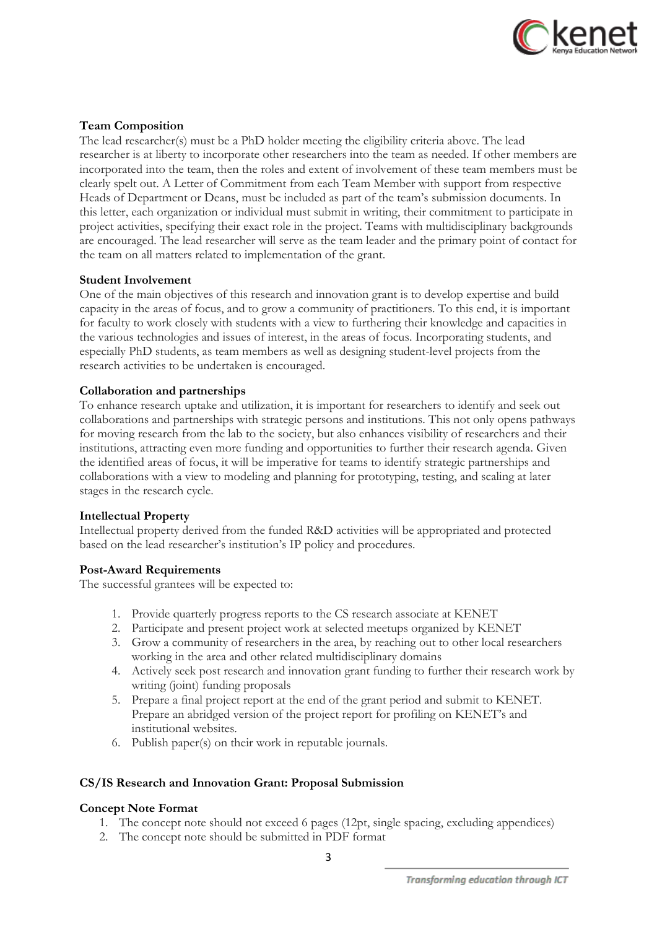

### **Team Composition**

The lead researcher(s) must be a PhD holder meeting the eligibility criteria above. The lead researcher is at liberty to incorporate other researchers into the team as needed. If other members are incorporated into the team, then the roles and extent of involvement of these team members must be clearly spelt out. A Letter of Commitment from each Team Member with support from respective Heads of Department or Deans, must be included as part of the team's submission documents. In this letter, each organization or individual must submit in writing, their commitment to participate in project activities, specifying their exact role in the project. Teams with multidisciplinary backgrounds are encouraged. The lead researcher will serve as the team leader and the primary point of contact for the team on all matters related to implementation of the grant.

### **Student Involvement**

One of the main objectives of this research and innovation grant is to develop expertise and build capacity in the areas of focus, and to grow a community of practitioners. To this end, it is important for faculty to work closely with students with a view to furthering their knowledge and capacities in the various technologies and issues of interest, in the areas of focus. Incorporating students, and especially PhD students, as team members as well as designing student-level projects from the research activities to be undertaken is encouraged.

### **Collaboration and partnerships**

To enhance research uptake and utilization, it is important for researchers to identify and seek out collaborations and partnerships with strategic persons and institutions. This not only opens pathways for moving research from the lab to the society, but also enhances visibility of researchers and their institutions, attracting even more funding and opportunities to further their research agenda. Given the identified areas of focus, it will be imperative for teams to identify strategic partnerships and collaborations with a view to modeling and planning for prototyping, testing, and scaling at later stages in the research cycle.

### **Intellectual Property**

Intellectual property derived from the funded R&D activities will be appropriated and protected based on the lead researcher's institution's IP policy and procedures.

### **Post-Award Requirements**

The successful grantees will be expected to:

- 1. Provide quarterly progress reports to the CS research associate at KENET
- 2. Participate and present project work at selected meetups organized by KENET
- 3. Grow a community of researchers in the area, by reaching out to other local researchers working in the area and other related multidisciplinary domains
- 4. Actively seek post research and innovation grant funding to further their research work by writing (joint) funding proposals
- 5. Prepare a final project report at the end of the grant period and submit to KENET. Prepare an abridged version of the project report for profiling on KENET's and institutional websites.
- 6. Publish paper(s) on their work in reputable journals.

### **CS/IS Research and Innovation Grant: Proposal Submission**

### **Concept Note Format**

- 1. The concept note should not exceed 6 pages (12pt, single spacing, excluding appendices)
- 2. The concept note should be submitted in PDF format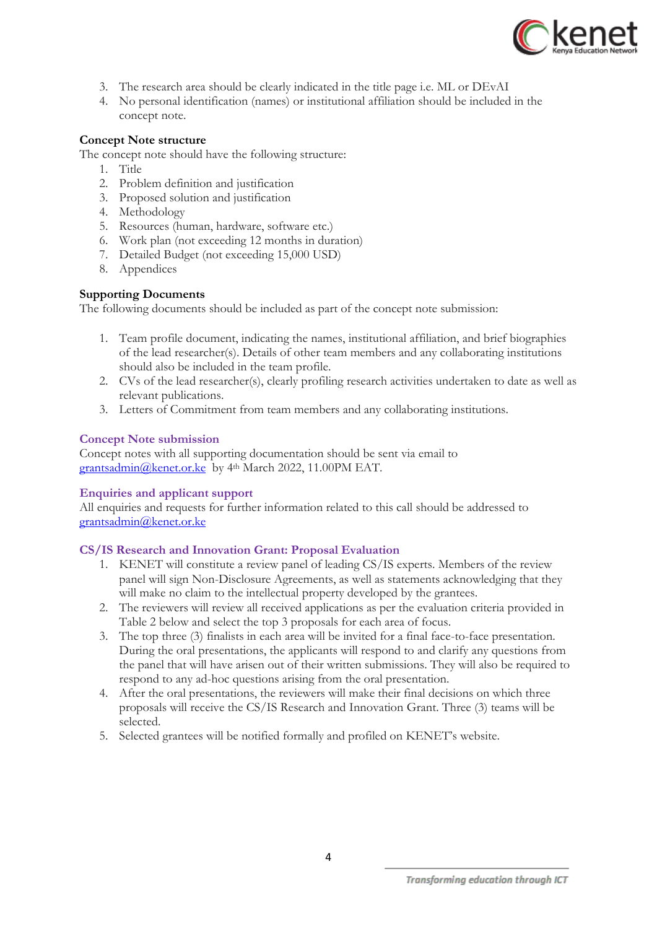

- 3. The research area should be clearly indicated in the title page i.e. ML or DEvAI
- 4. No personal identification (names) or institutional affiliation should be included in the concept note.

### **Concept Note structure**

The concept note should have the following structure:

- 1. Title
- 2. Problem definition and justification
- 3. Proposed solution and justification
- 4. Methodology
- 5. Resources (human, hardware, software etc.)
- 6. Work plan (not exceeding 12 months in duration)
- 7. Detailed Budget (not exceeding 15,000 USD)
- 8. Appendices

### **Supporting Documents**

The following documents should be included as part of the concept note submission:

- 1. Team profile document, indicating the names, institutional affiliation, and brief biographies of the lead researcher(s). Details of other team members and any collaborating institutions should also be included in the team profile.
- 2. CVs of the lead researcher(s), clearly profiling research activities undertaken to date as well as relevant publications.
- 3. Letters of Commitment from team members and any collaborating institutions.

#### **Concept Note submission**

Concept notes with all supporting documentation should be sent via email to [grantsadmin@kenet.or.ke](mailto:grantsadmin@kenet.or.ke) by 4th March 2022, 11.00PM EAT.

#### **Enquiries and applicant support**

All enquiries and requests for further information related to this call should be addressed to [grantsadmin@kenet.or.ke](mailto:grantsadmin@kenet.or.ke)

### **CS/IS Research and Innovation Grant: Proposal Evaluation**

- 1. KENET will constitute a review panel of leading CS/IS experts. Members of the review panel will sign Non-Disclosure Agreements, as well as statements acknowledging that they will make no claim to the intellectual property developed by the grantees.
- 2. The reviewers will review all received applications as per the evaluation criteria provided in Table 2 below and select the top 3 proposals for each area of focus.
- 3. The top three (3) finalists in each area will be invited for a final face-to-face presentation. During the oral presentations, the applicants will respond to and clarify any questions from the panel that will have arisen out of their written submissions. They will also be required to respond to any ad-hoc questions arising from the oral presentation.
- 4. After the oral presentations, the reviewers will make their final decisions on which three proposals will receive the CS/IS Research and Innovation Grant. Three (3) teams will be selected.
- 5. Selected grantees will be notified formally and profiled on KENET's website.